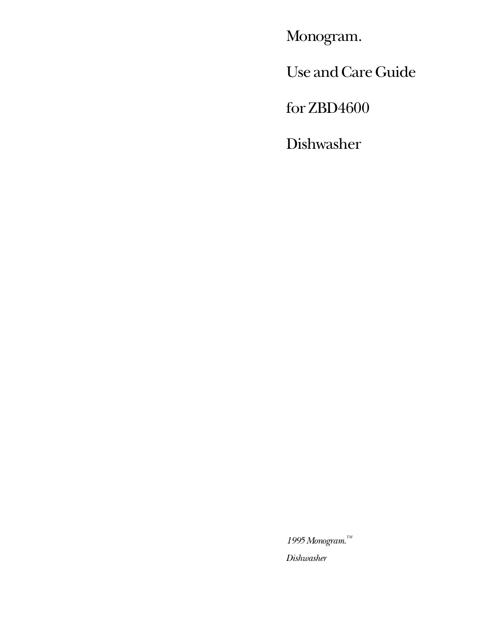Monogram.

Use and Care Guide

for ZBD4600

Dishwasher

*1995 Monogram.TM Dishwasher*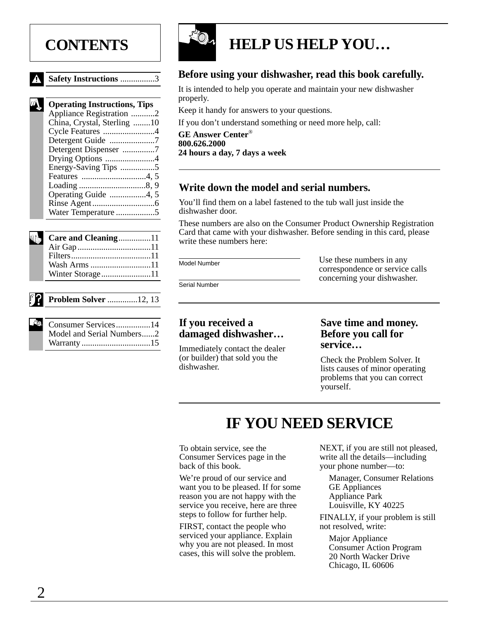# **CONTENTS**

|  | <b>Safety Instructions</b> 3 |  |
|--|------------------------------|--|
|  |                              |  |

| <b>Operating Instructions, Tips</b> |
|-------------------------------------|
| Appliance Registration 2            |
| China, Crystal, Sterling 10         |
| Cycle Features 4                    |
| Detergent Guide 7                   |
| Detergent Dispenser 7               |
| Drying Options 4                    |
| Energy-Saving Tips 5                |
|                                     |
|                                     |
|                                     |
|                                     |
|                                     |
|                                     |

| Care and Cleaning11 |  |
|---------------------|--|
|                     |  |
|                     |  |
| Wash Arms 11        |  |
| Winter Storage11    |  |

#### **[Problem Solver](#page-11-0)** ..............12, [13](#page-12-0)

| Consumer Services14       |
|---------------------------|
| Model and Serial Numbers2 |
|                           |



# **HELP US HELP YOU…**

## **Before using your dishwasher, read this book carefully.**

It is intended to help you operate and maintain your new dishwasher properly.

Keep it handy for answers to your questions.

If you don't understand something or need more help, call:

**GE Answer Center**® **800.626.2000 24 hours a day, 7 days a week**

## **Write down the model and serial numbers.**

You'll find them on a label fastened to the tub wall just inside the dishwasher door.

These numbers are also on the Consumer Product Ownership Registration Card that came with your dishwasher. Before sending in this card, please write these numbers here:

Model Number

Use these numbers in any correspondence or service calls concerning your dishwasher.

Serial Number

#### **If you received a damaged dishwasher…**

Immediately contact the dealer (or builder) that sold you the dishwasher.

#### **Save time and money. Before you call for service…**

Check the Problem Solver. It lists causes of minor operating problems that you can correct yourself.

# **IF YOU NEED SERVICE**

To obtain service, see the Consumer Services page in the back of this book.

We're proud of our service and want you to be pleased. If for some reason you are not happy with the service you receive, here are three steps to follow for further help.

FIRST, contact the people who serviced your appliance. Explain why you are not pleased. In most cases, this will solve the problem. NEXT, if you are still not pleased, write all the details—including your phone number—to:

Manager, Consumer Relations GE Appliances Appliance Park Louisville, KY 40225

FINALLY, if your problem is still not resolved, write:

Major Appliance Consumer Action Program 20 North Wacker Drive Chicago, IL 60606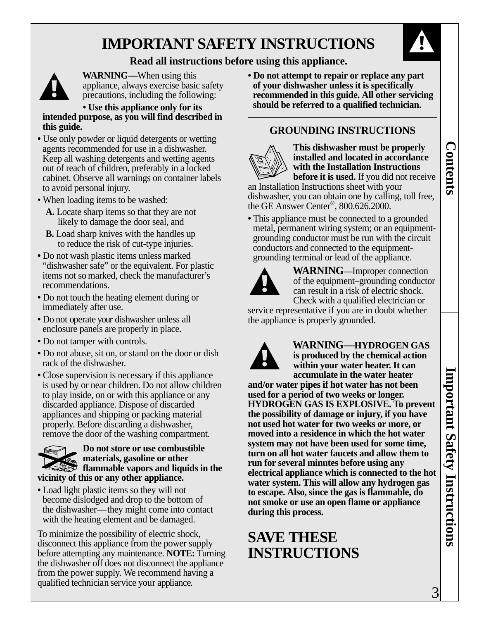

**Contents**

**Contents** 

#### **Read all instructions before using this appliance.**



**WARNING—**When using this appliance, always exercise basic safety precautions, including the following:

**• Use this appliance only for its intended purpose, as you will find described in this guide.**

- Use only powder or liquid detergents or wetting agents recommended for use in a dishwasher. Keep all washing detergents and wetting agents out of reach of children, preferably in a locked cabinet. Observe all warnings on container labels to avoid personal injury.
- When loading items to be washed:
	- **A.** Locate sharp items so that they are not likely to damage the door seal, and
	- **B.** Load sharp knives with the handles up to reduce the risk of cut-type injuries.
- **•** Do not wash plastic items unless marked "dishwasher safe" or the equivalent. For plastic items not so marked, check the manufacturer's recommendations.
- **•** Do not touch the heating element during or immediately after use.
- **•** Do not operate your dishwasher unless all enclosure panels are properly in place.
- **•** Do not tamper with controls.
- **•** Do not abuse, sit on, or stand on the door or dish rack of the dishwasher.
- <span id="page-2-0"></span>**•** Close supervision is necessary if this appliance is used by or near children. Do not allow children to play inside, on or with this appliance or any discarded appliance. Dispose of discarded appliances and shipping or packing material properly. Before discarding a dishwasher, remove the door of the washing compartment. **IMPORTANT SAFETY INSTRUCTIONS**<br> **Read all instructions before using this appliance.**<br> **PRORTAINTS** ( $\bullet$  then using this  $\bullet$  then the properties but the content of the particle in the spectra of the spectra of the spectr

#### **Do not store or use combustible materials, gasoline or other flammable vapors and liquids in the vicinity of this or any other appliance. Potscrubber <sup>1125</sup>Cycles Options**

**•** Load light plastic items so they will not become dislodged and drop to the bottom of the dishwasher—they might come into contact with the heating element and be damaged.

To minimize the possibility of electric shock, disconnect this appliance from the power supply before attempting any maintenance. **NOTE:** Turning the dishwasher off does not disconnect the appliance from the power supply. We recommend having a qualified technician service your appliance.

**• Do not attempt to repair or replace any part of your dishwasher unless it is specifically recommended in this guide. All other servicing should be referred to a qualified technician.**

### **GROUNDING INSTRUCTIONS**



**This dishwasher must be properly installed and located in accordance with the Installation Instructions before it is used.** If you did not receive

an Installation Instructions sheet with your dishwasher, you can obtain one by calling, toll free, the GE Answer Center®, 800.626.2000.

• This appliance must be connected to a grounded metal, permanent wiring system; or an equipmentgrounding conductor must be run with the circuit conductors and connected to the equipmentgrounding terminal or lead of the appliance.



**WARNING—**Improper connection of the equipment–grounding conductor can result in a risk of electric shock. Check with a qualified electrician or

service representative if you are in doubt whether the appliance is properly grounded.



**WARNING—HYDROGEN GAS is produced by the chemical action within your water heater. It can accumulate in the water heater and/or water pipes if hot water has not been**

**used for a period of two weeks or longer. HYDROGEN GAS IS EXPLOSIVE. To prevent the possibility of damage or injury, if you have not used hot water for two weeks or more, or moved into a residence in which the hot water system may not have been used for some time, turn on all hot water faucets and allow them to run for several minutes before using any electrical appliance which is connected to the hot water system. This will allow any hydrogen gas to escape. Also, since the gas is flammable, do not smoke or use an open flame or appliance during this process.**

# **SAVE THESE INSTRUCTIONS**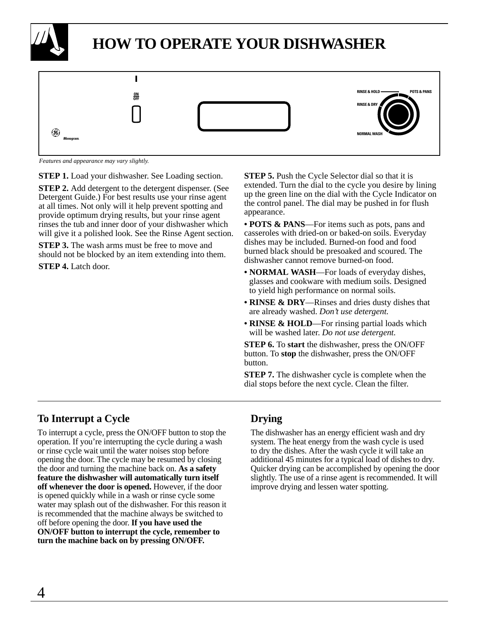<span id="page-3-0"></span>

# **HOW TO OPERATE YOUR DISHWASHER**



*Features and appearance may vary slightly.*

**STEP 1.** Load your dishwasher. See Loading section.

**STEP 2.** Add detergent to the detergent dispenser. (See Detergent Guide.) For best results use your rinse agent at all times. Not only will it help prevent spotting and provide optimum drying results, but your rinse agent rinses the tub and inner door of your dishwasher which will give it a polished look. See the Rinse Agent section.

**STEP 3.** The wash arms must be free to move and should not be blocked by an item extending into them.

**STEP 4.** Latch door.

**STEP 5.** Push the Cycle Selector dial so that it is extended. Turn the dial to the cycle you desire by lining up the green line on the dial with the Cycle Indicator on the control panel. The dial may be pushed in for flush appearance.

**• POTS & PANS**—For items such as pots, pans and casseroles with dried-on or baked-on soils. Everyday dishes may be included. Burned-on food and food burned black should be presoaked and scoured. The dishwasher cannot remove burned-on food.

- **NORMAL WASH**—For loads of everyday dishes, glasses and cookware with medium soils. Designed to yield high performance on normal soils.
- **RINSE & DRY**—Rinses and dries dusty dishes that are already washed. *Don't use detergent.*
- **RINSE & HOLD**—For rinsing partial loads which will be washed later. *Do not use detergent.*

**STEP 6.** To **start** the dishwasher, press the ON/OFF button. To **stop** the dishwasher, press the ON/OFF button.

**STEP 7.** The dishwasher cycle is complete when the dial stops before the next cycle. Clean the filter.

## **To Interrupt a Cycle Drying**

To interrupt a cycle, press the ON/OFF button to stop the operation. If you're interrupting the cycle during a wash or rinse cycle wait until the water noises stop before opening the door. The cycle may be resumed by closing the door and turning the machine back on. **As a safety feature the dishwasher will automatically turn itself off whenever the door is opened.** However, if the door is opened quickly while in a wash or rinse cycle some water may splash out of the dishwasher. For this reason it is recommended that the machine always be switched to off before opening the door. **If you have used the ON/OFF button to interrupt the cycle, remember to turn the machine back on by pressing ON/OFF.**

The dishwasher has an energy efficient wash and dry system. The heat energy from the wash cycle is used to dry the dishes. After the wash cycle it will take an additional 45 minutes for a typical load of dishes to dry. Quicker drying can be accomplished by opening the door slightly. The use of a rinse agent is recommended. It will improve drying and lessen water spotting.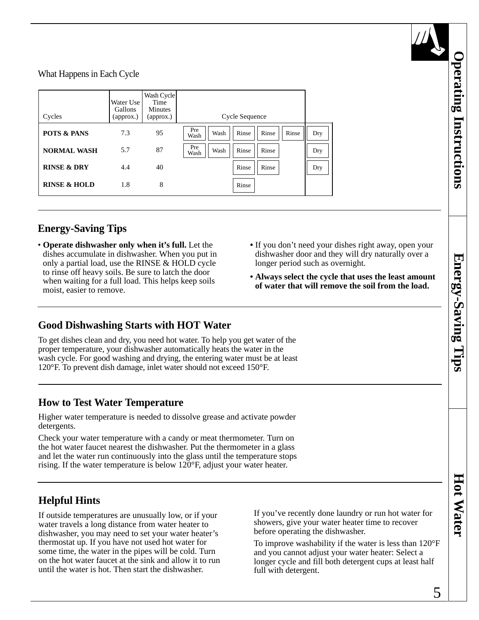<span id="page-4-0"></span>What Happens in Each Cycle

| Cycles                  | Water Use<br>Gallons<br>(approx.) | Wash Cycle<br>Time<br><b>Minutes</b><br>(approx.) | Cycle Sequence                                 |     |
|-------------------------|-----------------------------------|---------------------------------------------------|------------------------------------------------|-----|
| <b>POTS &amp; PANS</b>  | 7.3                               | 95                                                | Pre<br>Rinse<br>Rinse<br>Rinse<br>Wash<br>Wash | Dry |
| <b>NORMAL WASH</b>      | 5.7                               | 87                                                | Pre<br>Rinse<br>Rinse<br>Wash<br>Wash          | Dry |
| <b>RINSE &amp; DRY</b>  | 4.4                               | 40                                                | Rinse<br>Rinse                                 | Dry |
| <b>RINSE &amp; HOLD</b> | 1.8                               | 8                                                 | Rinse                                          |     |

## **Energy-Saving Tips**

- **Operate dishwasher only when it's full.** Let the dishes accumulate in dishwasher. When you put in only a partial load, use the RINSE & HOLD cycle to rinse off heavy soils. Be sure to latch the door when waiting for a full load. This helps keep soils moist, easier to remove.
- **•** If you don't need your dishes right away, open your dishwasher door and they will dry naturally over a longer period such as overnight.
- **Always select the cycle that uses the least amount of water that will remove the soil from the load.**

### **Good Dishwashing Starts with HOT Water**

To get dishes clean and dry, you need hot water. To help you get water of the proper temperature, your dishwasher automatically heats the water in the wash cycle. For good washing and drying, the entering water must be at least 120°F. To prevent dish damage, inlet water should not exceed 150°F.

#### **How to Test Water Temperature**

Higher water temperature is needed to dissolve grease and activate powder detergents.

Check your water temperature with a candy or meat thermometer. Turn on the hot water faucet nearest the dishwasher. Put the thermometer in a glass and let the water run continuously into the glass until the temperature stops rising. If the water temperature is below 120°F, adjust your water heater.

## **Helpful Hints**

If outside temperatures are unusually low, or if your water travels a long distance from water heater to dishwasher, you may need to set your water heater's thermostat up. If you have not used hot water for some time, the water in the pipes will be cold. Turn on the hot water faucet at the sink and allow it to run until the water is hot. Then start the dishwasher.

If you've recently done laundry or run hot water for showers, give your water heater time to recover before operating the dishwasher.

To improve washability if the water is less than 120°F and you cannot adjust your water heater: Select a longer cycle and fill both detergent cups at least half full with detergent.

**Operating Instructions**

**Operating Instructions** 

**Hot Water**

**Hot Water**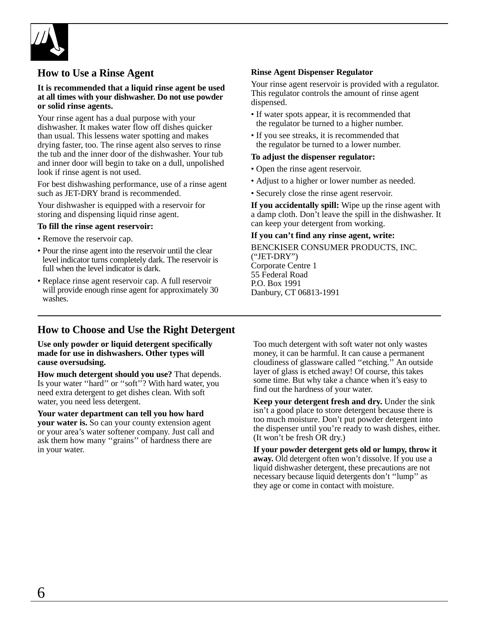<span id="page-5-0"></span>

#### **How to Use a Rinse Agent**

#### **It is recommended that a liquid rinse agent be used at all times with your dishwasher. Do not use powder or solid rinse agents.**

Your rinse agent has a dual purpose with your dishwasher. It makes water flow off dishes quicker than usual. This lessens water spotting and makes drying faster, too. The rinse agent also serves to rinse the tub and the inner door of the dishwasher. Your tub and inner door will begin to take on a dull, unpolished look if rinse agent is not used.

For best dishwashing performance, use of a rinse agent such as JET-DRY brand is recommended.

Your dishwasher is equipped with a reservoir for storing and dispensing liquid rinse agent.

#### **To fill the rinse agent reservoir:**

- Remove the reservoir cap.
- Pour the rinse agent into the reservoir until the clear level indicator turns completely dark. The reservoir is full when the level indicator is dark.
- Replace rinse agent reservoir cap. A full reservoir will provide enough rinse agent for approximately 30 washes.

#### **Rinse Agent Dispenser Regulator**

Your rinse agent reservoir is provided with a regulator. This regulator controls the amount of rinse agent dispensed.

- If water spots appear, it is recommended that the regulator be turned to a higher number.
- If you see streaks, it is recommended that the regulator be turned to a lower number.

#### **To adjust the dispenser regulator:**

- Open the rinse agent reservoir.
- Adjust to a higher or lower number as needed.
- Securely close the rinse agent reservoir.

**If you accidentally spill:** Wipe up the rinse agent with a damp cloth. Don't leave the spill in the dishwasher. It can keep your detergent from working.

#### **If you can't find any rinse agent, write:**

BENCKISER CONSUMER PRODUCTS, INC. ("JET-DRY") Corporate Centre 1 55 Federal Road P.O. Box 1991 Danbury, CT 06813-1991

#### **How to Choose and Use the Right Detergent**

**Use only powder or liquid detergent specifically made for use in dishwashers. Other types will cause oversudsing.**

**How much detergent should you use?** That depends. Is your water ''hard'' or ''soft''? With hard water, you need extra detergent to get dishes clean. With soft water, you need less detergent.

**Your water department can tell you how hard your water is.** So can your county extension agent or your area's water softener company. Just call and ask them how many ''grains'' of hardness there are in your water.

Too much detergent with soft water not only wastes money, it can be harmful. It can cause a permanent cloudiness of glassware called ''etching.'' An outside layer of glass is etched away! Of course, this takes some time. But why take a chance when it's easy to find out the hardness of your water.

**Keep your detergent fresh and dry.** Under the sink isn't a good place to store detergent because there is too much moisture. Don't put powder detergent into the dispenser until you're ready to wash dishes, either. (It won't be fresh OR dry.)

**If your powder detergent gets old or lumpy, throw it away.** Old detergent often won't dissolve. If you use a liquid dishwasher detergent, these precautions are not necessary because liquid detergents don't ''lump'' as they age or come in contact with moisture.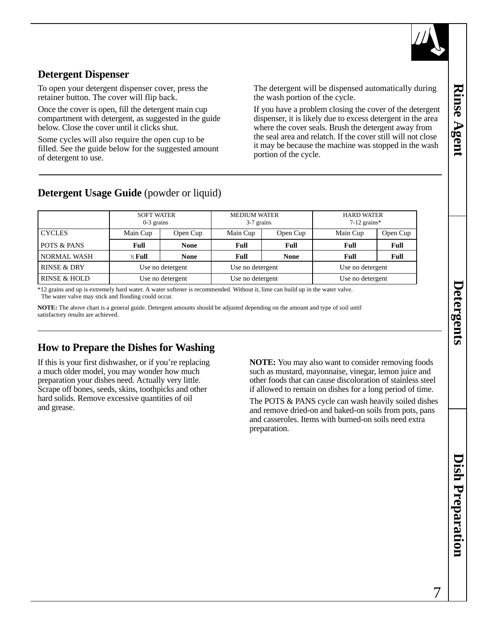

## <span id="page-6-0"></span>**Detergent Dispenser**

To open your detergent dispenser cover, press the retainer button. The cover will flip back.

Once the cover is open, fill the detergent main cup compartment with detergent, as suggested in the guide below. Close the cover until it clicks shut.

Some cycles will also require the open cup to be filled. See the guide below for the suggested amount of detergent to use.

The detergent will be dispensed automatically during the wash portion of the cycle.

If you have a problem closing the cover of the detergent dispenser, it is likely due to excess detergent in the area where the cover seals. Brush the detergent away from the seal area and relatch. If the cover still will not close it may be because the machine was stopped in the wash portion of the cycle.

## **Detergent Usage Guide** (powder or liquid)

|                        | <b>SOFT WATER</b><br>$0-3$ grains |             | <b>MEDIUM WATER</b><br>3-7 grains |             | <b>HARD WATER</b><br>$7-12$ grains* |          |
|------------------------|-----------------------------------|-------------|-----------------------------------|-------------|-------------------------------------|----------|
| <b>CYCLES</b>          | Main Cup                          | Open Cup    | Main Cup                          | Open Cup    | Main Cup                            | Open Cup |
| POTS & PANS            | Full                              | <b>None</b> | <b>Full</b>                       | Full        | Full                                | Full     |
| <b>NORMAL WASH</b>     | $\frac{1}{2}$ Full                | <b>None</b> | <b>Full</b>                       | <b>None</b> | <b>Full</b>                         | Full     |
| <b>RINSE &amp; DRY</b> | Use no detergent                  |             | Use no detergent                  |             | Use no detergent                    |          |
| RINSE & HOLD           | Use no detergent                  |             | Use no detergent                  |             | Use no detergent                    |          |

\*12 grains and up is extremely hard water. A water softener is recommended. Without it, lime can build up in the water valve. The water valve may stick and flooding could occur.

**NOTE:** The above chart is a general guide. Detergent amounts should be adjusted depending on the amount and type of soil until satisfactory results are achieved.

## **How to Prepare the Dishes for Washing**

If this is your first dishwasher, or if you're replacing a much older model, you may wonder how much preparation your dishes need. Actually very little. Scrape off bones, seeds, skins, toothpicks and other hard solids. Remove excessive quantities of oil and grease.

**NOTE:** You may also want to consider removing foods such as mustard, mayonnaise, vinegar, lemon juice and other foods that can cause discoloration of stainless steel if allowed to remain on dishes for a long period of time.

The POTS & PANS cycle can wash heavily soiled dishes and remove dried-on and baked-on soils from pots, pans and casseroles. Items with burned-on soils need extra preparation.

**Rinse Agent**

Rinse Agent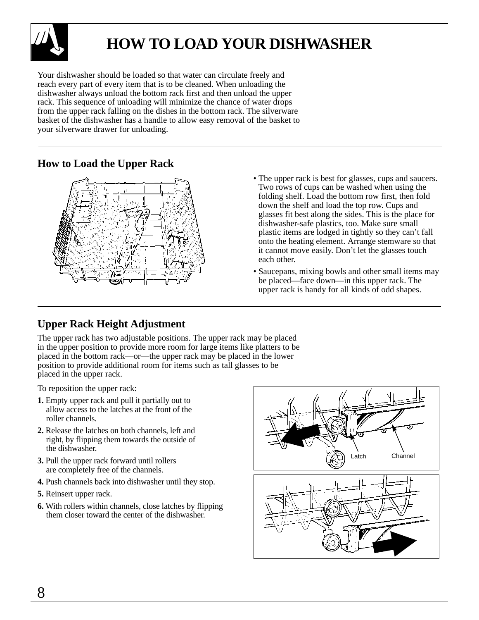<span id="page-7-0"></span>

# **HOW TO LOAD YOUR DISHWASHER**

Your dishwasher should be loaded so that water can circulate freely and reach every part of every item that is to be cleaned. When unloading the dishwasher always unload the bottom rack first and then unload the upper rack. This sequence of unloading will minimize the chance of water drops from the upper rack falling on the dishes in the bottom rack. The silverware basket of the dishwasher has a handle to allow easy removal of the basket to your silverware drawer for unloading.

### **How to Load the Upper Rack**



- The upper rack is best for glasses, cups and saucers. Two rows of cups can be washed when using the folding shelf. Load the bottom row first, then fold down the shelf and load the top row. Cups and glasses fit best along the sides. This is the place for dishwasher-safe plastics, too. Make sure small plastic items are lodged in tightly so they can't fall onto the heating element. Arrange stemware so that it cannot move easily. Don't let the glasses touch each other.
- Saucepans, mixing bowls and other small items may be placed—face down—in this upper rack. The upper rack is handy for all kinds of odd shapes.

## **Upper Rack Height Adjustment**

The upper rack has two adjustable positions. The upper rack may be placed in the upper position to provide more room for large items like platters to be placed in the bottom rack—or—the upper rack may be placed in the lower position to provide additional room for items such as tall glasses to be placed in the upper rack.

To reposition the upper rack:

- **1.** Empty upper rack and pull it partially out to allow access to the latches at the front of the roller channels.
- **2.** Release the latches on both channels, left and right, by flipping them towards the outside of the dishwasher.
- **3.** Pull the upper rack forward until rollers are completely free of the channels.
- **4.** Push channels back into dishwasher until they stop.
- **5.** Reinsert upper rack.
- **6.** With rollers within channels, close latches by flipping them closer toward the center of the dishwasher.

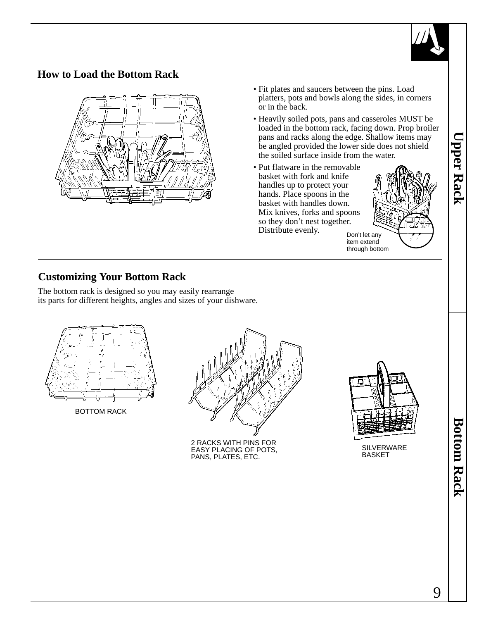

## <span id="page-8-0"></span>**How to Load the Bottom Rack**



- Fit plates and saucers between the pins. Load platters, pots and bowls along the sides, in corners or in the back.
- Heavily soiled pots, pans and casseroles MUST be loaded in the bottom rack, facing down. Prop broiler pans and racks along the edge. Shallow items may be angled provided the lower side does not shield the soiled surface inside from the water.
- Put flatware in the removable basket with fork and knife handles up to protect your hands. Place spoons in the basket with handles down. Mix knives, forks and spoons so they don't nest together. Distribute evenly.

Don't let any item extend through bottom

## **Customizing Your Bottom Rack**

The bottom rack is designed so you may easily rearrange its parts for different heights, angles and sizes of your dishware.



BOTTOM RACK



2 RACKS WITH PINS FOR EASY PLACING OF POTS, PANS, PLATES, ETC.



SILVERWARE BASKET

**Bottom Rack Bottom Rack**

**Upper Rack**

**Upper Rack**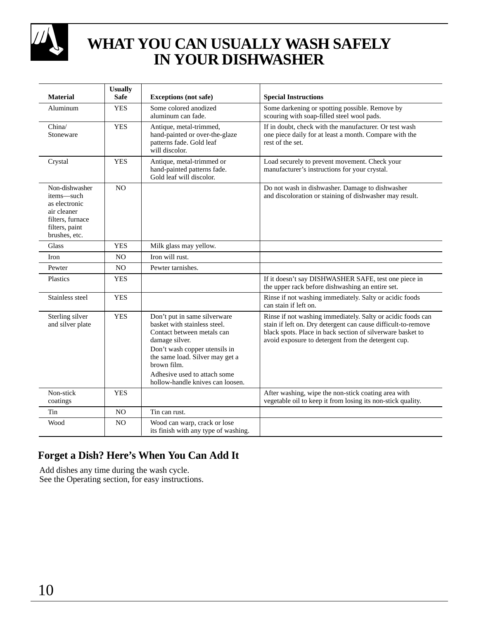<span id="page-9-0"></span>

# **WHAT YOU CAN USUALLY WASH SAFELY IN YOUR DISHWASHER**

| <b>Material</b>                                                                                                     | <b>Usually</b><br><b>Safe</b> | <b>Exceptions</b> (not safe)                                                                                                                                                                                                                                        | <b>Special Instructions</b>                                                                                                                                                                                                                       |
|---------------------------------------------------------------------------------------------------------------------|-------------------------------|---------------------------------------------------------------------------------------------------------------------------------------------------------------------------------------------------------------------------------------------------------------------|---------------------------------------------------------------------------------------------------------------------------------------------------------------------------------------------------------------------------------------------------|
| Aluminum                                                                                                            | <b>YES</b>                    | Some colored anodized<br>aluminum can fade.                                                                                                                                                                                                                         | Some darkening or spotting possible. Remove by<br>scouring with soap-filled steel wool pads.                                                                                                                                                      |
| China/<br>Stoneware                                                                                                 | <b>YES</b>                    | Antique, metal-trimmed,<br>hand-painted or over-the-glaze<br>patterns fade. Gold leaf<br>will discolor.                                                                                                                                                             | If in doubt, check with the manufacturer. Or test wash<br>one piece daily for at least a month. Compare with the<br>rest of the set.                                                                                                              |
| Crystal                                                                                                             | <b>YES</b>                    | Antique, metal-trimmed or<br>hand-painted patterns fade.<br>Gold leaf will discolor.                                                                                                                                                                                | Load securely to prevent movement. Check your<br>manufacturer's instructions for your crystal.                                                                                                                                                    |
| Non-dishwasher<br>items-such<br>as electronic<br>air cleaner<br>filters, furnace<br>filters, paint<br>brushes, etc. | NO                            |                                                                                                                                                                                                                                                                     | Do not wash in dishwasher. Damage to dishwasher<br>and discoloration or staining of dishwasher may result.                                                                                                                                        |
| Glass                                                                                                               | <b>YES</b>                    | Milk glass may yellow.                                                                                                                                                                                                                                              |                                                                                                                                                                                                                                                   |
| Iron                                                                                                                | N <sub>O</sub>                | Iron will rust.                                                                                                                                                                                                                                                     |                                                                                                                                                                                                                                                   |
| Pewter                                                                                                              | N <sub>O</sub>                | Pewter tarnishes.                                                                                                                                                                                                                                                   |                                                                                                                                                                                                                                                   |
| Plastics                                                                                                            | <b>YES</b>                    |                                                                                                                                                                                                                                                                     | If it doesn't say DISHWASHER SAFE, test one piece in<br>the upper rack before dishwashing an entire set.                                                                                                                                          |
| Stainless steel                                                                                                     | <b>YES</b>                    |                                                                                                                                                                                                                                                                     | Rinse if not washing immediately. Salty or acidic foods<br>can stain if left on.                                                                                                                                                                  |
| Sterling silver<br>and silver plate                                                                                 | <b>YES</b>                    | Don't put in same silverware<br>basket with stainless steel.<br>Contact between metals can<br>damage silver.<br>Don't wash copper utensils in<br>the same load. Silver may get a<br>brown film.<br>Adhesive used to attach some<br>hollow-handle knives can loosen. | Rinse if not washing immediately. Salty or acidic foods can<br>stain if left on. Dry detergent can cause difficult-to-remove<br>black spots. Place in back section of silverware basket to<br>avoid exposure to detergent from the detergent cup. |
| Non-stick<br>coatings                                                                                               | <b>YES</b>                    |                                                                                                                                                                                                                                                                     | After washing, wipe the non-stick coating area with<br>vegetable oil to keep it from losing its non-stick quality.                                                                                                                                |
| Tin                                                                                                                 | NO                            | Tin can rust.                                                                                                                                                                                                                                                       |                                                                                                                                                                                                                                                   |
| Wood                                                                                                                | N <sub>O</sub>                | Wood can warp, crack or lose<br>its finish with any type of washing.                                                                                                                                                                                                |                                                                                                                                                                                                                                                   |

# **Forget a Dish? Here's When You Can Add It**

Add dishes any time during the wash cycle. See the Operating section, for easy instructions.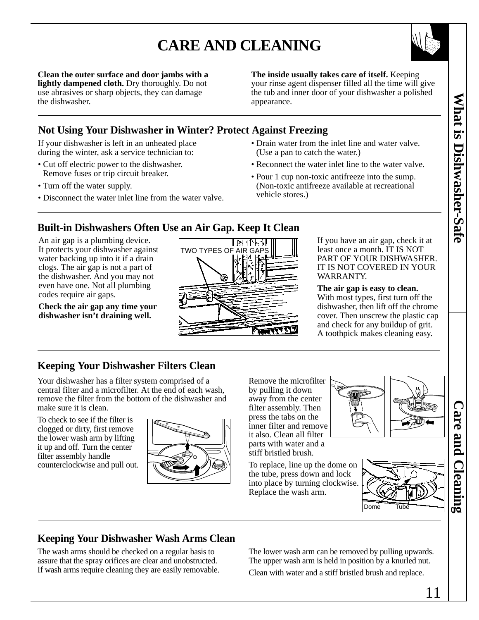# **CARE AND CLEANING**



**The inside usually takes care of itself.** Keeping your rinse agent dispenser filled all the time will give the tub and inner door of your dishwasher a polished appearance.

## <span id="page-10-0"></span>**Not Using Your Dishwasher in Winter? Protect Against Freezing**

If your dishwasher is left in an unheated place during the winter, ask a service technician to:

- Cut off electric power to the dishwasher. Remove fuses or trip circuit breaker.
- Turn off the water supply.
- Disconnect the water inlet line from the water valve.
- Drain water from the inlet line and water valve. (Use a pan to catch the water.)
- Reconnect the water inlet line to the water valve.
- Pour 1 cup non-toxic antifreeze into the sump. (Non-toxic antifreeze available at recreational vehicle stores.)

## **Built-in Dishwashers Often Use an Air Gap. Keep It Clean**

An air gap is a plumbing device. It protects your dishwasher against water backing up into it if a drain clogs. The air gap is not a part of the dishwasher. And you may not even have one. Not all plumbing codes require air gaps.

**Check the air gap any time your dishwasher isn't draining well.**



If you have an air gap, check it at least once a month. IT IS NOT PART OF YOUR DISHWASHER. IT IS NOT COVERED IN YOUR WARRANTY.

#### **The air gap is easy to clean.**

With most types, first turn off the dishwasher, then lift off the chrome cover. Then unscrew the plastic cap and check for any buildup of grit. A toothpick makes cleaning easy.

## **Keeping Your Dishwasher Filters Clean**

Your dishwasher has a filter system comprised of a central filter and a microfilter. At the end of each wash, remove the filter from the bottom of the dishwasher and make sure it is clean.

To check to see if the filter is clogged or dirty, first remove the lower wash arm by lifting it up and off. Turn the center filter assembly handle counterclockwise and pull out.



Remove the microfilter by pulling it down away from the center filter assembly. Then press the tabs on the inner filter and remove it also. Clean all filter parts with water and a stiff bristled brush.



To replace, line up the dome on the tube, press down and lock into place by turning clockwise. Replace the wash arm.



## **Keeping Your Dishwasher Wash Arms Clean**

The wash arms should be checked on a regular basis to assure that the spray orifices are clear and unobstructed. If wash arms require cleaning they are easily removable. The lower wash arm can be removed by pulling upwards. The upper wash arm is held in position by a knurled nut. Clean with water and a stiff bristled brush and replace.

**Care and Cleaning**

**Care and Cleaning**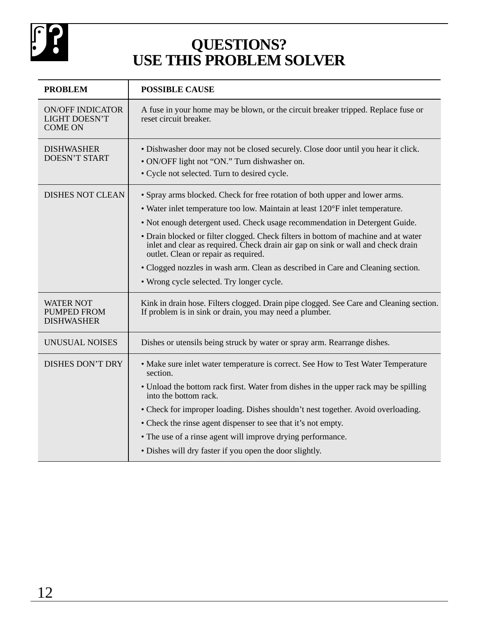<span id="page-11-0"></span>

# **QUESTIONS? USE THIS PROBLEM SOLVER**

| <b>PROBLEM</b>                                                    | <b>POSSIBLE CAUSE</b>                                                                                                                                                                                          |
|-------------------------------------------------------------------|----------------------------------------------------------------------------------------------------------------------------------------------------------------------------------------------------------------|
| <b>ON/OFF INDICATOR</b><br><b>LIGHT DOESN'T</b><br><b>COME ON</b> | A fuse in your home may be blown, or the circuit breaker tripped. Replace fuse or<br>reset circuit breaker.                                                                                                    |
| <b>DISHWASHER</b><br><b>DOESN'T START</b>                         | • Dishwasher door may not be closed securely. Close door until you hear it click.<br>· ON/OFF light not "ON." Turn dishwasher on.<br>• Cycle not selected. Turn to desired cycle.                              |
| <b>DISHES NOT CLEAN</b>                                           | • Spray arms blocked. Check for free rotation of both upper and lower arms.                                                                                                                                    |
|                                                                   | • Water inlet temperature too low. Maintain at least 120°F inlet temperature.                                                                                                                                  |
|                                                                   | • Not enough detergent used. Check usage recommendation in Detergent Guide.                                                                                                                                    |
|                                                                   | • Drain blocked or filter clogged. Check filters in bottom of machine and at water<br>inlet and clear as required. Check drain air gap on sink or wall and check drain<br>outlet. Clean or repair as required. |
|                                                                   | • Clogged nozzles in wash arm. Clean as described in Care and Cleaning section.                                                                                                                                |
|                                                                   | • Wrong cycle selected. Try longer cycle.                                                                                                                                                                      |
| <b>WATER NOT</b><br><b>PUMPED FROM</b><br><b>DISHWASHER</b>       | Kink in drain hose. Filters clogged. Drain pipe clogged. See Care and Cleaning section.<br>If problem is in sink or drain, you may need a plumber.                                                             |
| UNUSUAL NOISES                                                    | Dishes or utensils being struck by water or spray arm. Rearrange dishes.                                                                                                                                       |
| <b>DISHES DON'T DRY</b>                                           | • Make sure inlet water temperature is correct. See How to Test Water Temperature<br>section.                                                                                                                  |
|                                                                   | • Unload the bottom rack first. Water from dishes in the upper rack may be spilling<br>into the bottom rack.                                                                                                   |
|                                                                   | • Check for improper loading. Dishes shouldn't nest together. Avoid overloading.                                                                                                                               |
|                                                                   | • Check the rinse agent dispenser to see that it's not empty.                                                                                                                                                  |
|                                                                   | • The use of a rinse agent will improve drying performance.                                                                                                                                                    |
|                                                                   | • Dishes will dry faster if you open the door slightly.                                                                                                                                                        |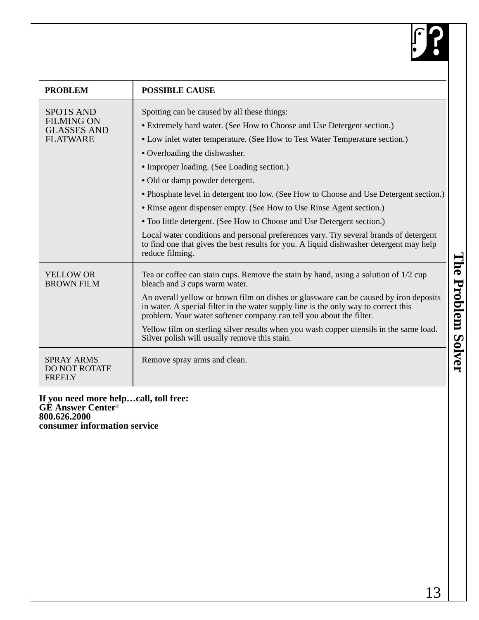

<span id="page-12-0"></span>

| <b>PROBLEM</b>                                                                 | <b>POSSIBLE CAUSE</b>                                                                                                                                                                                                                                                                                                                                                                                                                                                                                                                                                                                                                                       |
|--------------------------------------------------------------------------------|-------------------------------------------------------------------------------------------------------------------------------------------------------------------------------------------------------------------------------------------------------------------------------------------------------------------------------------------------------------------------------------------------------------------------------------------------------------------------------------------------------------------------------------------------------------------------------------------------------------------------------------------------------------|
| <b>SPOTS AND</b><br><b>FILMING ON</b><br><b>GLASSES AND</b><br><b>FLATWARE</b> | Spotting can be caused by all these things:<br>• Extremely hard water. (See How to Choose and Use Detergent section.)<br>• Low inlet water temperature. (See How to Test Water Temperature section.)<br>• Overloading the dishwasher.<br>• Improper loading. (See Loading section.)<br>• Old or damp powder detergent.<br>• Phosphate level in detergent too low. (See How to Choose and Use Detergent section.)<br>• Rinse agent dispenser empty. (See How to Use Rinse Agent section.)<br>• Too little detergent. (See How to Choose and Use Detergent section.)<br>Local water conditions and personal preferences vary. Try several brands of detergent |
| <b>YELLOW OR</b><br><b>BROWN FILM</b>                                          | to find one that gives the best results for you. A liquid dishwasher detergent may help<br>reduce filming.<br>Tea or coffee can stain cups. Remove the stain by hand, using a solution of 1/2 cup<br>bleach and 3 cups warm water.<br>An overall yellow or brown film on dishes or glassware can be caused by iron deposits<br>in water. A special filter in the water supply line is the only way to correct this<br>problem. Your water softener company can tell you about the filter.<br>Yellow film on sterling silver results when you wash copper utensils in the same load.<br>Silver polish will usually remove this stain.                        |
| <b>SPRAY ARMS</b><br><b>DO NOT ROTATE</b><br><b>FREELY</b>                     | Remove spray arms and clean.                                                                                                                                                                                                                                                                                                                                                                                                                                                                                                                                                                                                                                |

**If you need more help…call, toll free: GE Answer Center® 800.626.2000 consumer information service**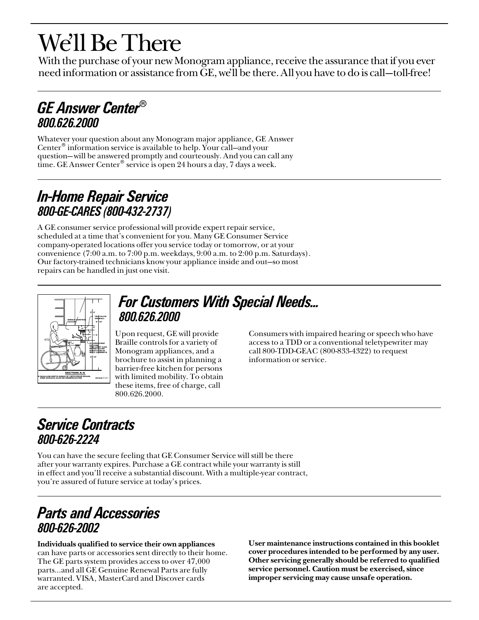# <span id="page-13-0"></span>We'll Be There

With the purchase of your new Monogram appliance, receive the assurance that if you ever need information or assistance from GE, we'll be there. All you have to do is call—toll-free!

# GE Answer Center® 800.626.2000

Whatever your question about any Monogram major appliance, GE Answer Center® information service is available to help. Your call—and your question— will be answered promptly and courteously. And you can call any time. GE Answer Center<sup>®</sup> service is open 24 hours a day, 7 days a week.

# In-Home Repair Service 800-GE-CARES (800-432-2737)

A GE consumer service professional will provide expert repair service, scheduled at a time that's convenient for you. Many GE Consumer Service company-operated locations offer you service today or tomorrow, or at your convenience (7:00 a.m. to 7:00 p.m. weekdays, 9:00 a.m. to 2:00 p.m. Saturdays). Our factory-trained technicians know your appliance inside and out—so most repairs can be handled in just one visit.



# For Customers With Special Needs… 800.626.2000

Upon request, GE will provide Braille controls for a variety of Monogram appliances, and a brochure to assist in planning a barrier-free kitchen for persons with limited mobility. To obtain these items, free of charge, call 800.626.2000.

Consumers with impaired hearing or speech who have access to a TDD or a conventional teletypewriter may call 800-TDD-GEAC (800-833-4322) to request information or service.

# Service Contracts 800-626-2224

You can have the secure feeling that GE Consumer Service will still be there after your warranty expires. Purchase a GE contract while your warranty is still in effect and you'll receive a substantial discount. With a multiple-year contract, you're assured of future service at today's prices.

# Parts and Accessories 800-626-2002

Individuals qualified to service their own appliances can have parts or accessories sent directly to their home. The GE parts system provides access to over 47,000 parts…and all GE Genuine Renewal Parts are fully warranted. VISA, MasterCard and Discover cards are accepted.

User maintenance instructions contained in this booklet cover procedures intended to be performed by any user. Other servicing generally should be referred to qualified service personnel. Caution must be exercised, since improper servicing may cause unsafe operation.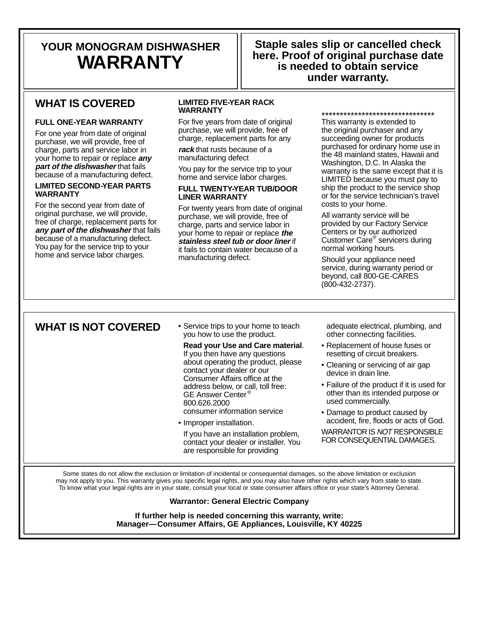# <span id="page-14-0"></span>**YOUR MONOGRAM DISHWASHER WARRANTY**

### **Staple sales slip or cancelled check here. Proof of original purchase date is needed to obtain service under warranty.**

## **WHAT IS COVERED**

#### **FULL ONE-YEAR WARRANTY**

For one year from date of original purchase, we will provide, free of charge, parts and service labor in your home to repair or replace **any part of the dishwasher** that fails because of a manufacturing defect.

#### **LIMITED SECOND-YEAR PARTS WARRANTY**

For the second year from date of original purchase, we will provide, free of charge, replacement parts for **any part of the dishwasher** that fails because of a manufacturing defect. You pay for the service trip to your home and service labor charges.

#### **LIMITED FIVE-YEAR RACK WARRANTY**

For five years from date of original purchase, we will provide, free of charge, replacement parts for any

**rack** that rusts because of a manufacturing defect

You pay for the service trip to your home and service labor charges.

#### **FULL TWENTY-YEAR TUB/DOOR LINER WARRANTY**

For twenty years from date of original purchase, we will provide, free of charge, parts and service labor in your home to repair or replace **the stainless steel tub or door liner** if it fails to contain water because of a manufacturing defect.

\*\*\*\*\*\*\*\*\*\*\*\*\*\*\*\*\*\*\*\*\*\*\*\*\*\*\*\*\*\*\* This warranty is extended to the original purchaser and any succeeding owner for products purchased for ordinary home use in the 48 mainland states, Hawaii and Washington, D.C. In Alaska the warranty is the same except that it is LIMITED because you must pay to ship the product to the service shop or for the service technician's travel costs to your home.

All warranty service will be provided by our Factory Service Centers or by our authorized Customer Care® servicers during normal working hours.

Should your appliance need service, during warranty period or beyond, call 800-GE-CARES (800-432-2737).

#### WHAT IS NOT COVERED • Service trips to your home to teach

you how to use the product.

**Read your Use and Care material**. If you then have any questions about operating the product, please contact your dealer or our Consumer Affairs office at the address below, or call, toll free: GE Answer Center ® 800.626.2000 consumer information service

• Improper installation.

If you have an installation problem, contact your dealer or installer. You are responsible for providing

adequate electrical, plumbing, and other connecting facilities.

- Replacement of house fuses or resetting of circuit breakers.
- Cleaning or servicing of air gap device in drain line.
- Failure of the product if it is used for other than its intended purpose or used commercially.
- Damage to product caused by accident, fire, floods or acts of God.

WARRANTOR IS NOT RESPONSIBLE FOR CONSEQUENTIAL DAMAGES.

Some states do not allow the exclusion or limitation of incidental or consequential damages, so the above limitation or exclusion may not apply to you. This warranty gives you specific legal rights, and you may also have other rights which vary from state to state. To know what your legal rights are in your state, consult your local or state consumer affairs office or your state's Attorney General.

#### **Warrantor: General Electric Company**

**If further help is needed concerning this warranty, write: Manager—Consumer Affairs, GE Appliances, Louisville, KY 40225**